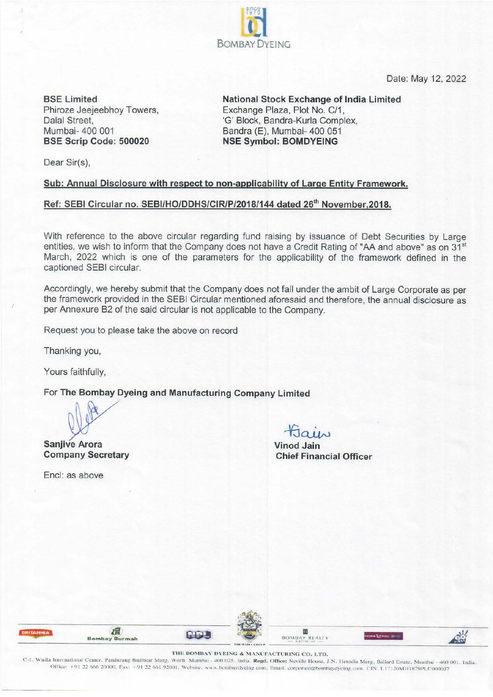Date: May 12, 2022

**BSE Limited**  Phiroze Jeejeebhoy Towers, Dalal Street, Mumbai- 400 001 **BSE Scrip Code: 500020** 

**National Stock Exchange of India Limited**  Exchange Plaza, Plot No. C/1, 'G' Block, Bandra-Kurla Complex, Bandra (E), Mumbai- 400 051 **NSE Symbol: BOMDYEING** 

Dear Sir(s),

## **Sub: Annual Disclosure with respect to non-applicability of Large Entity Framework.**

## Ref: SEBI Circular no. SEBI/HO/DDHS/CIR/P/2018/144 dated 26<sup>th</sup> November, 2018.

With reference to the above circular regarding fund raising by issuance of Debt Securities by Large entities, we wish to inform that the Company does not have a Credit Rating of "AA and above" as on 31<sup>st</sup> March, 2022 which is one of the parameters for the applicability of the framework defined in the captioned SEBI circular.

187<u>9</u>  $\mathbf{c}$ BOMBAY DYEING

Accordingly, we hereby submit that the Company does not fall under the ambit of Large Corporate as per the framework provided in the SEBI Circular mentioned aforesaid and therefore, the annual disclosure as per Annexure B2 of the said circular is not applicable to the Company.

Request you to please take the above on record

Thanking you,

Yours faithfully,

For **The Bombay Dyeing and Manufacturing Company Limited** 

 $M = \frac{1}{5}$ 

**Sanjiv~ Arora Vinod Jain** 

Encl: as above

**Company Secretary Chief Financial Officer** 

| <b>BRITANNIA</b> | <b>Bombay Burmah</b> |                                                                                                                    |                 | $\underbrace{\text{BOMBAY}}_{\text{A at time}} \underbrace{\text{REALTY}}_{\text{A at time}}$ | E EANOU |  |
|------------------|----------------------|--------------------------------------------------------------------------------------------------------------------|-----------------|-----------------------------------------------------------------------------------------------|---------|--|
|                  |                      | Looking and East Little<br>the control of the state of the control of the control of the control of the control of | THE WADIA GROUP |                                                                                               |         |  |

THE BOMBAY DYEING & MANUFACTURING CO. LTD.<br>C-1. Wadia International Center, Pandurang Budhkar Marg. Worli. Mumbai -400 025. India. Regd. Office: Neville House, J.N. Heredia Marg. Ballard Estate. Mumbai -400 001. India. Office: +91 22 666 20000, Fax: +91 22 661 92001. Website: www.bombaydyeing.com. Email: corporate@hombaydyeing.com. CIN: L17120MH1879PLC000037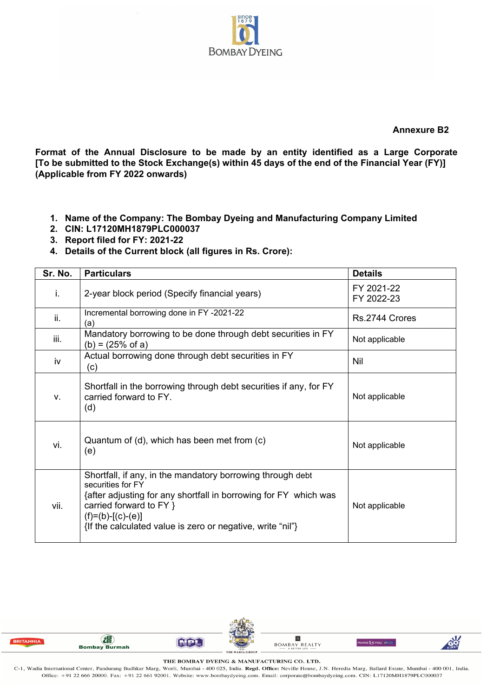

**Annexure B2** 

**Format of the Annual Disclosure to be made by an entity identified as a Large Corporate [To be submitted to the Stock Exchange(s) within 45 days of the end of the Financial Year (FY)] (Applicable from FY 2022 onwards)** 

- **1. Name of the Company: The Bombay Dyeing and Manufacturing Company Limited**
- **2. CIN: L17120MH1879PLC000037**
- **3. Report filed for FY: 2021-22**
- **4. Details of the Current block (all figures in Rs. Crore):**

| Sr. No. | <b>Particulars</b>                                                                                                                                                                                                                                                  | <b>Details</b>           |  |
|---------|---------------------------------------------------------------------------------------------------------------------------------------------------------------------------------------------------------------------------------------------------------------------|--------------------------|--|
| i.      | 2-year block period (Specify financial years)                                                                                                                                                                                                                       | FY 2021-22<br>FY 2022-23 |  |
| ii.     | Incremental borrowing done in FY-2021-22<br>(a)                                                                                                                                                                                                                     | Rs. 2744 Crores          |  |
| iii.    | Mandatory borrowing to be done through debt securities in FY<br>$(b) = (25\% \text{ of a})$                                                                                                                                                                         | Not applicable           |  |
| iv      | Actual borrowing done through debt securities in FY<br>(c)                                                                                                                                                                                                          | Nil                      |  |
| V.      | Shortfall in the borrowing through debt securities if any, for FY<br>carried forward to FY.<br>(d)                                                                                                                                                                  | Not applicable           |  |
| vi.     | Quantum of (d), which has been met from (c)<br>(e)                                                                                                                                                                                                                  | Not applicable           |  |
| vii.    | Shortfall, if any, in the mandatory borrowing through debt<br>securities for FY<br>{after adjusting for any shortfall in borrowing for FY which was<br>carried forward to FY }<br>$(f)=(b)-[(c)-(e)]$<br>{If the calculated value is zero or negative, write "nil"} | Not applicable           |  |



THE BOMBAY DYEING & MANUFACTURING CO. LTD.

C-1, Wadia International Center, Pandurang Budhkar Marg, Worli, Mumbai - 400 025, India. Regd. Office: Neville House, J.N. Heredia Marg, Ballard Estate, Mumbai - 400 001, India. Office: +91 22 666 20000. Fax: +91 22 661 92001. Website: www.bombaydyeing.com. Email: corporate@bombaydyeing.com. CIN: L17120MH1879PLC000037